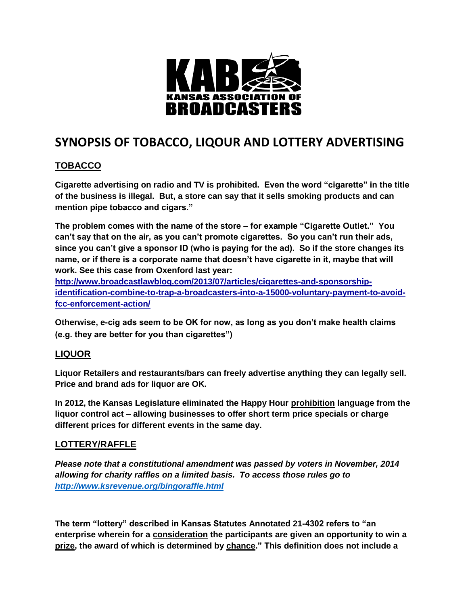

## **SYNOPSIS OF TOBACCO, LIQOUR AND LOTTERY ADVERTISING**

## **TOBACCO**

**Cigarette advertising on radio and TV is prohibited. Even the word "cigarette" in the title of the business is illegal. But, a store can say that it sells smoking products and can mention pipe tobacco and cigars."** 

**The problem comes with the name of the store – for example "Cigarette Outlet." You can't say that on the air, as you can't promote cigarettes. So you can't run their ads, since you can't give a sponsor ID (who is paying for the ad). So if the store changes its name, or if there is a corporate name that doesn't have cigarette in it, maybe that will work. See this case from Oxenford last year:** 

**[http://www.broadcastlawblog.com/2013/07/articles/cigarettes-and-sponsorship](http://www.broadcastlawblog.com/2013/07/articles/cigarettes-and-sponsorship-identification-combine-to-trap-a-broadcasters-into-a-15000-voluntary-payment-to-avoid-fcc-enforcement-action/)[identification-combine-to-trap-a-broadcasters-into-a-15000-voluntary-payment-to-avoid](http://www.broadcastlawblog.com/2013/07/articles/cigarettes-and-sponsorship-identification-combine-to-trap-a-broadcasters-into-a-15000-voluntary-payment-to-avoid-fcc-enforcement-action/)[fcc-enforcement-action/](http://www.broadcastlawblog.com/2013/07/articles/cigarettes-and-sponsorship-identification-combine-to-trap-a-broadcasters-into-a-15000-voluntary-payment-to-avoid-fcc-enforcement-action/)**

**Otherwise, e-cig ads seem to be OK for now, as long as you don't make health claims (e.g. they are better for you than cigarettes")**

## **LIQUOR**

**Liquor Retailers and restaurants/bars can freely advertise anything they can legally sell. Price and brand ads for liquor are OK.**

**In 2012, the Kansas Legislature eliminated the Happy Hour prohibition language from the liquor control act – allowing businesses to offer short term price specials or charge different prices for different events in the same day.**

## **LOTTERY/RAFFLE**

*Please note that a constitutional amendment was passed by voters in November, 2014 allowing for charity raffles on a limited basis. To access those rules go to <http://www.ksrevenue.org/bingoraffle.html>*

**The term "lottery" described in Kansas Statutes Annotated 21-4302 refers to "an [enterprise](http://www.ehow.com/list_7253671_kansas-raffle-laws.html) wherein for a consideration the participants are given an opportunity to win a prize, the award of which is determined by chance." This definition does not include a**